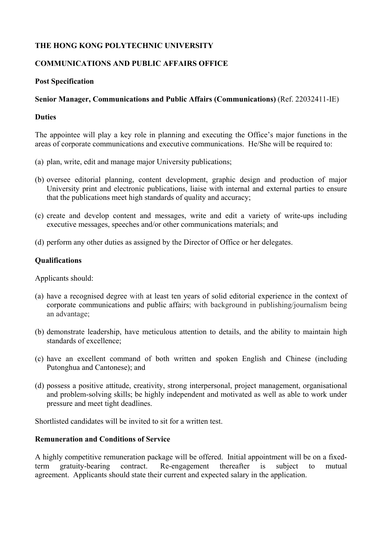# **THE HONG KONG POLYTECHNIC UNIVERSITY**

## **COMMUNICATIONS AND PUBLIC AFFAIRS OFFICE**

## **Post Specification**

## **Senior Manager, Communications and Public Affairs (Communications)** (Ref. 22032411-IE)

#### **Duties**

The appointee will play a key role in planning and executing the Office's major functions in the areas of corporate communications and executive communications. He/She will be required to:

- (a) plan, write, edit and manage major University publications;
- (b) oversee editorial planning, content development, graphic design and production of major University print and electronic publications, liaise with internal and external parties to ensure that the publications meet high standards of quality and accuracy;
- (c) create and develop content and messages, write and edit a variety of write-ups including executive messages, speeches and/or other communications materials; and
- (d) perform any other duties as assigned by the Director of Office or her delegates.

## **Qualifications**

Applicants should:

- (a) have a recognised degree with at least ten years of solid editorial experience in the context of corporate communications and public affairs; with background in publishing/journalism being an advantage;
- (b) demonstrate leadership, have meticulous attention to details, and the ability to maintain high standards of excellence;
- (c) have an excellent command of both written and spoken English and Chinese (including Putonghua and Cantonese); and
- (d) possess a positive attitude, creativity, strong interpersonal, project management, organisational and problem-solving skills; be highly independent and motivated as well as able to work under pressure and meet tight deadlines.

Shortlisted candidates will be invited to sit for a written test.

## **Remuneration and Conditions of Service**

A highly competitive remuneration package will be offered. Initial appointment will be on a fixedterm gratuity-bearing contract. Re-engagement thereafter is subject to mutual agreement. Applicants should state their current and expected salary in the application.